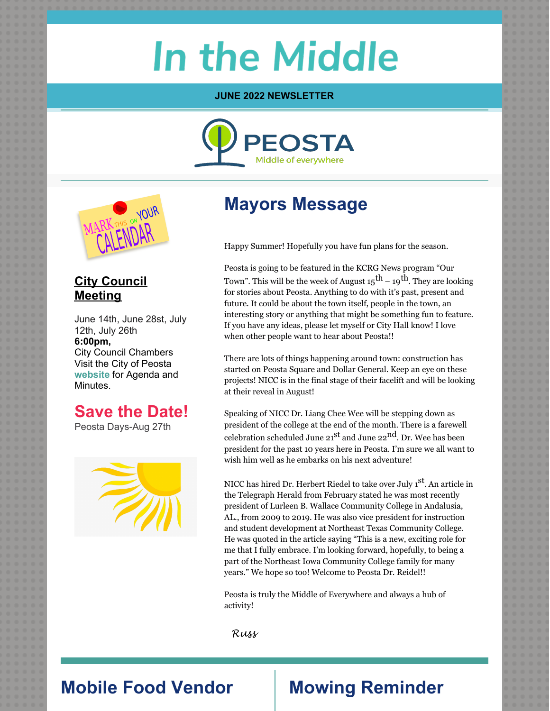# **In the Middle**

#### **JUNE 2022 NEWSLETTER**





#### **City Council Meeting**

June 14th, June 28st, July 12th, July 26th **6:00pm,** City Council Chambers Visit the City of Peosta **[website](https://www.cityofpeosta.org/)** for Agenda and Minutes.

### **Save the Date!**

Peosta Days-Aug 27th



# **Mayors Message**

Happy Summer! Hopefully you have fun plans for the season.

Peosta is going to be featured in the KCRG News program "Our Town". This will be the week of August 15 $^{\rm th}$  – 19 $^{\rm th}$ . They are looking for stories about Peosta. Anything to do with it's past, present and future. It could be about the town itself, people in the town, an interesting story or anything that might be something fun to feature. If you have any ideas, please let myself or City Hall know! I love when other people want to hear about Peosta!!

There are lots of things happening around town: construction has started on Peosta Square and Dollar General. Keep an eye on these projects! NICC is in the final stage of their facelift and will be looking at their reveal in August!

Speaking of NICC Dr. Liang Chee Wee will be stepping down as president of the college at the end of the month. There is a farewell celebration scheduled June 21<sup>st</sup> and June 22<sup>nd</sup>. Dr. Wee has been president for the past 10 years here in Peosta. I'm sure we all want to wish him well as he embarks on his next adventure!

NICC has hired Dr. Herbert Riedel to take over July 1<sup>st</sup>. An article in the Telegraph Herald from February stated he was most recently president of Lurleen B. Wallace Community College in Andalusia, AL., from 2009 to 2019. He was also vice president for instruction and student development at Northeast Texas Community College. He was quoted in the article saying "This is a new, exciting role for me that I fully embrace. I'm looking forward, hopefully, to being a part of the Northeast Iowa Community College family for many years." We hope so too! Welcome to Peosta Dr. Reidel!!

Peosta is truly the Middle of Everywhere and always a hub of activity!

Russ

# **Mobile Food Vendor Mowing Reminder**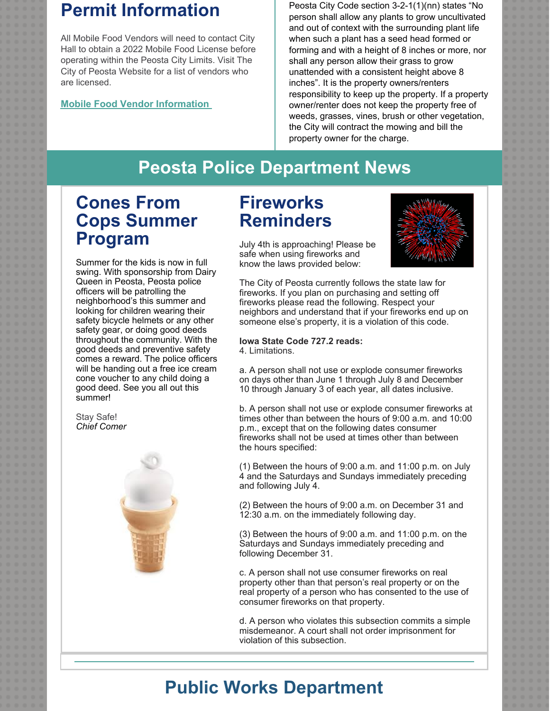# **Permit Information**

All Mobile Food Vendors will need to contact City Hall to obtain a 2022 Mobile Food License before operating within the Peosta City Limits. Visit The City of Peosta Website for a list of vendors who are licensed.

#### **Mobile Food Vendor [Information](https://www.cityofpeosta.org/permits-and-fees)**

Peosta City Code section 3-2-1(1)(nn) states "No person shall allow any plants to grow uncultivated and out of context with the surrounding plant life when such a plant has a seed head formed or forming and with a height of 8 inches or more, nor shall any person allow their grass to grow unattended with a consistent height above 8 inches". It is the property owners/renters responsibility to keep up the property. If a property owner/renter does not keep the property free of weeds, grasses, vines, brush or other vegetation, the City will contract the mowing and bill the property owner for the charge.

# **Peosta Police Department News**

# **Cones From Cops Summer Program**

Summer for the kids is now in full swing. With sponsorship from Dairy Queen in Peosta, Peosta police officers will be patrolling the neighborhood's this summer and looking for children wearing their safety bicycle helmets or any other safety gear, or doing good deeds throughout the community. With the good deeds and preventive safety comes a reward. The police officers will be handing out a free ice cream cone voucher to any child doing a good deed. See you all out this summer!

Stay Safe! *Chief Comer*



# **Fireworks Reminders**

July 4th is approaching! Please be safe when using fireworks and know the laws provided below:



The City of Peosta currently follows the state law for fireworks. If you plan on purchasing and setting off fireworks please read the following. Respect your neighbors and understand that if your fireworks end up on someone else's property, it is a violation of this code.

#### **Iowa State Code 727.2 reads:** 4. Limitations.

a. A person shall not use or explode consumer fireworks on days other than June 1 through July 8 and December 10 through January 3 of each year, all dates inclusive.

b. A person shall not use or explode consumer fireworks at times other than between the hours of 9:00 a.m. and 10:00 p.m., except that on the following dates consumer fireworks shall not be used at times other than between the hours specified:

(1) Between the hours of 9:00 a.m. and 11:00 p.m. on July 4 and the Saturdays and Sundays immediately preceding and following July 4.

(2) Between the hours of 9:00 a.m. on December 31 and 12:30 a.m. on the immediately following day.

(3) Between the hours of 9:00 a.m. and 11:00 p.m. on the Saturdays and Sundays immediately preceding and following December 31.

c. A person shall not use consumer fireworks on real property other than that person's real property or on the real property of a person who has consented to the use of consumer fireworks on that property.

d. A person who violates this subsection commits a simple misdemeanor. A court shall not order imprisonment for violation of this subsection.

# **Public Works Department**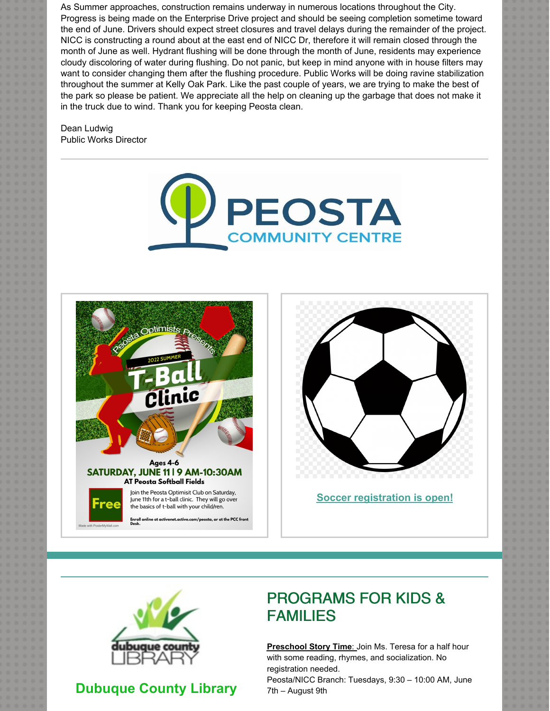As Summer approaches, construction remains underway in numerous locations throughout the City. Progress is being made on the Enterprise Drive project and should be seeing completion sometime toward the end of June. Drivers should expect street closures and travel delays during the remainder of the project. NICC is constructing a round about at the east end of NICC Dr, therefore it will remain closed through the month of June as well. Hydrant flushing will be done through the month of June, residents may experience cloudy discoloring of water during flushing. Do not panic, but keep in mind anyone with in house filters may want to consider changing them after the flushing procedure. Public Works will be doing ravine stabilization throughout the summer at Kelly Oak Park. Like the past couple of years, we are trying to make the best of the park so please be patient. We appreciate all the help on cleaning up the garbage that does not make it in the truck due to wind. Thank you for keeping Peosta clean.

Dean Ludwig Public Works Director







**Soccer [registration](https://apm.activecommunities.com/peosta/Activity_Search/soccer/2069) is open!**



#### **Dubuque County Library**

#### PROGRAMS FOR KIDS & FAMILIES

**Preschool Story Time**: Join Ms. Teresa for a half hour with some reading, rhymes, and socialization. No registration needed.

Peosta/NICC Branch: Tuesdays, 9:30 – 10:00 AM, June 7th – August 9th